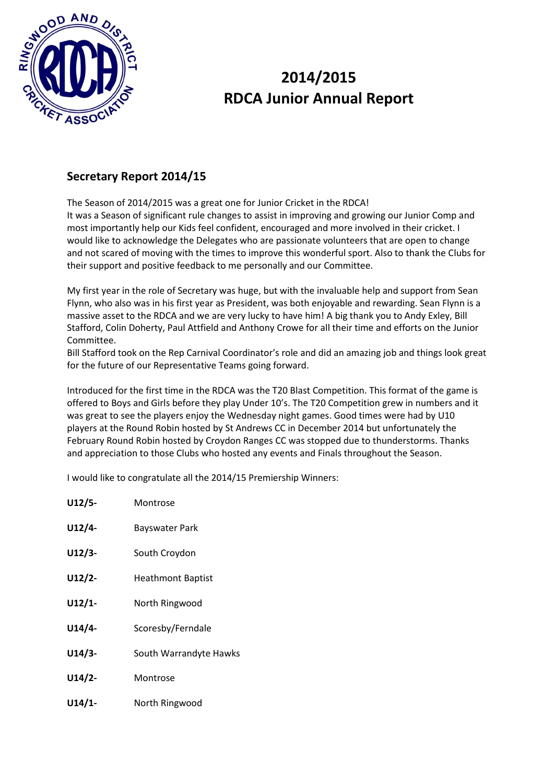

# **2014/2015 RDCA Junior Annual Report**

### **Secretary Report 2014/15**

The Season of 2014/2015 was a great one for Junior Cricket in the RDCA! It was a Season of significant rule changes to assist in improving and growing our Junior Comp and most importantly help our Kids feel confident, encouraged and more involved in their cricket. I would like to acknowledge the Delegates who are passionate volunteers that are open to change and not scared of moving with the times to improve this wonderful sport. Also to thank the Clubs for their support and positive feedback to me personally and our Committee.

My first year in the role of Secretary was huge, but with the invaluable help and support from Sean Flynn, who also was in his first year as President, was both enjoyable and rewarding. Sean Flynn is a massive asset to the RDCA and we are very lucky to have him! A big thank you to Andy Exley, Bill Stafford, Colin Doherty, Paul Attfield and Anthony Crowe for all their time and efforts on the Junior Committee.

Bill Stafford took on the Rep Carnival Coordinator's role and did an amazing job and things look great for the future of our Representative Teams going forward.

Introduced for the first time in the RDCA was the T20 Blast Competition. This format of the game is offered to Boys and Girls before they play Under 10's. The T20 Competition grew in numbers and it was great to see the players enjoy the Wednesday night games. Good times were had by U10 players at the Round Robin hosted by St Andrews CC in December 2014 but unfortunately the February Round Robin hosted by Croydon Ranges CC was stopped due to thunderstorms. Thanks and appreciation to those Clubs who hosted any events and Finals throughout the Season.

I would like to congratulate all the 2014/15 Premiership Winners:

| $U12/5-$  | Montrose                 |
|-----------|--------------------------|
| $U12/4-$  | Bayswater Park           |
| $U12/3-$  | South Croydon            |
| $U12/2$ - | <b>Heathmont Baptist</b> |
| $U12/1-$  | North Ringwood           |
| $U14/4-$  | Scoresby/Ferndale        |
| $U14/3-$  | South Warrandyte Hawks   |
| $U14/2-$  | Montrose                 |
| $U14/1-$  | North Ringwood           |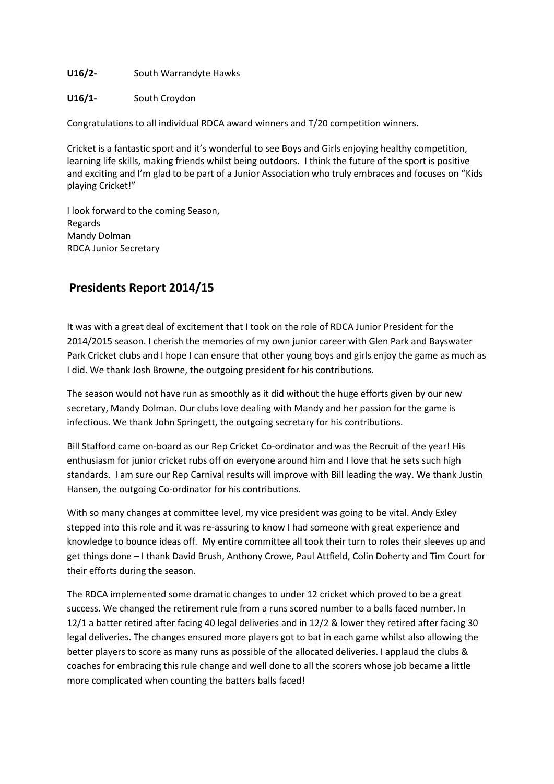#### **U16/2-** South Warrandyte Hawks

#### **U16/1-** South Croydon

Congratulations to all individual RDCA award winners and T/20 competition winners.

Cricket is a fantastic sport and it's wonderful to see Boys and Girls enjoying healthy competition, learning life skills, making friends whilst being outdoors. I think the future of the sport is positive and exciting and I'm glad to be part of a Junior Association who truly embraces and focuses on "Kids playing Cricket!"

I look forward to the coming Season, Regards Mandy Dolman RDCA Junior Secretary

### **Presidents Report 2014/15**

It was with a great deal of excitement that I took on the role of RDCA Junior President for the 2014/2015 season. I cherish the memories of my own junior career with Glen Park and Bayswater Park Cricket clubs and I hope I can ensure that other young boys and girls enjoy the game as much as I did. We thank Josh Browne, the outgoing president for his contributions.

The season would not have run as smoothly as it did without the huge efforts given by our new secretary, Mandy Dolman. Our clubs love dealing with Mandy and her passion for the game is infectious. We thank John Springett, the outgoing secretary for his contributions.

Bill Stafford came on-board as our Rep Cricket Co-ordinator and was the Recruit of the year! His enthusiasm for junior cricket rubs off on everyone around him and I love that he sets such high standards. I am sure our Rep Carnival results will improve with Bill leading the way. We thank Justin Hansen, the outgoing Co-ordinator for his contributions.

With so many changes at committee level, my vice president was going to be vital. Andy Exley stepped into this role and it was re-assuring to know I had someone with great experience and knowledge to bounce ideas off. My entire committee all took their turn to roles their sleeves up and get things done – I thank David Brush, Anthony Crowe, Paul Attfield, Colin Doherty and Tim Court for their efforts during the season.

The RDCA implemented some dramatic changes to under 12 cricket which proved to be a great success. We changed the retirement rule from a runs scored number to a balls faced number. In 12/1 a batter retired after facing 40 legal deliveries and in 12/2 & lower they retired after facing 30 legal deliveries. The changes ensured more players got to bat in each game whilst also allowing the better players to score as many runs as possible of the allocated deliveries. I applaud the clubs & coaches for embracing this rule change and well done to all the scorers whose job became a little more complicated when counting the batters balls faced!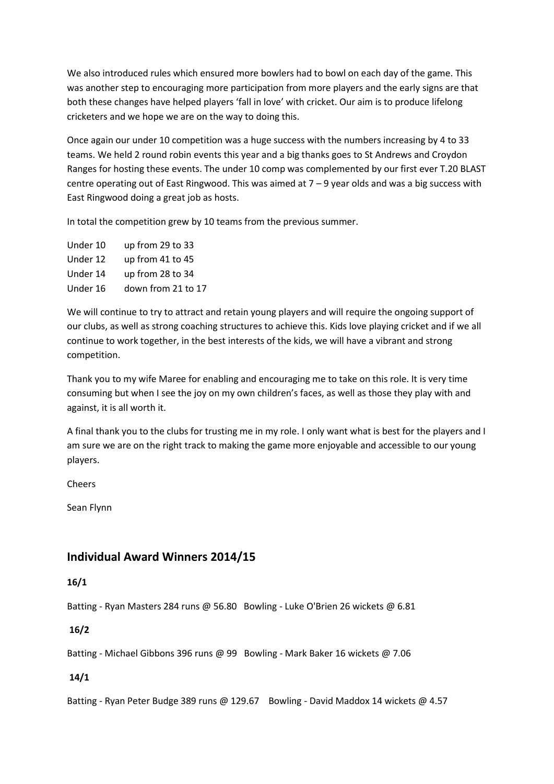We also introduced rules which ensured more bowlers had to bowl on each day of the game. This was another step to encouraging more participation from more players and the early signs are that both these changes have helped players 'fall in love' with cricket. Our aim is to produce lifelong cricketers and we hope we are on the way to doing this.

Once again our under 10 competition was a huge success with the numbers increasing by 4 to 33 teams. We held 2 round robin events this year and a big thanks goes to St Andrews and Croydon Ranges for hosting these events. The under 10 comp was complemented by our first ever T.20 BLAST centre operating out of East Ringwood. This was aimed at 7 – 9 year olds and was a big success with East Ringwood doing a great job as hosts.

In total the competition grew by 10 teams from the previous summer.

| Under 10 | up from 29 to 33   |
|----------|--------------------|
| Under 12 | up from 41 to 45   |
| Under 14 | up from 28 to 34   |
| Under 16 | down from 21 to 17 |
|          |                    |

We will continue to try to attract and retain young players and will require the ongoing support of our clubs, as well as strong coaching structures to achieve this. Kids love playing cricket and if we all continue to work together, in the best interests of the kids, we will have a vibrant and strong competition.

Thank you to my wife Maree for enabling and encouraging me to take on this role. It is very time consuming but when I see the joy on my own children's faces, as well as those they play with and against, it is all worth it.

A final thank you to the clubs for trusting me in my role. I only want what is best for the players and I am sure we are on the right track to making the game more enjoyable and accessible to our young players.

Cheers

Sean Flynn

### **Individual Award Winners 2014/15**

#### **16/1**

Batting - Ryan Masters 284 runs @ 56.80 Bowling - Luke O'Brien 26 wickets @ 6.81

**16/2** 

Batting - Michael Gibbons 396 runs @ 99 Bowling - Mark Baker 16 wickets @ 7.06

#### **14/1**

Batting - Ryan Peter Budge 389 runs @ 129.67 Bowling - David Maddox 14 wickets @ 4.57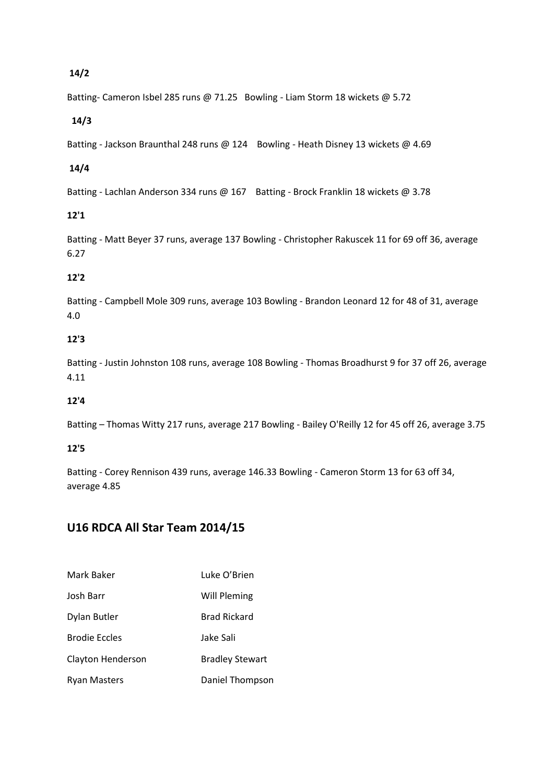#### **14/2**

Batting- Cameron Isbel 285 runs @ 71.25 Bowling - Liam Storm 18 wickets @ 5.72

#### **14/3**

Batting - Jackson Braunthal 248 runs @ 124 Bowling - Heath Disney 13 wickets @ 4.69

#### **14/4**

Batting - Lachlan Anderson 334 runs @ 167 Batting - Brock Franklin 18 wickets @ 3.78

#### **12'1**

Batting - Matt Beyer 37 runs, average 137 Bowling - Christopher Rakuscek 11 for 69 off 36, average 6.27

#### **12'2**

Batting - Campbell Mole 309 runs, average 103 Bowling - Brandon Leonard 12 for 48 of 31, average 4.0

#### **12'3**

Batting - Justin Johnston 108 runs, average 108 Bowling - Thomas Broadhurst 9 for 37 off 26, average 4.11

#### **12'4**

Batting – Thomas Witty 217 runs, average 217 Bowling - Bailey O'Reilly 12 for 45 off 26, average 3.75

#### **12'5**

Batting - Corey Rennison 439 runs, average 146.33 Bowling - Cameron Storm 13 for 63 off 34, average 4.85

## **U16 RDCA All Star Team 2014/15**

| Mark Baker           | Luke O'Brien           |
|----------------------|------------------------|
| Josh Barr            | Will Pleming           |
| Dylan Butler         | Brad Rickard           |
| <b>Brodie Eccles</b> | Jake Sali              |
| Clayton Henderson    | <b>Bradley Stewart</b> |
| Ryan Masters         | Daniel Thompson        |